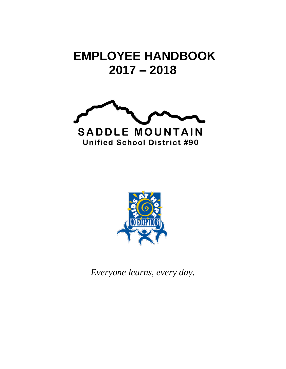# **EMPLOYEE HANDBOOK 2017 – 2018**





*Everyone learns, every day.*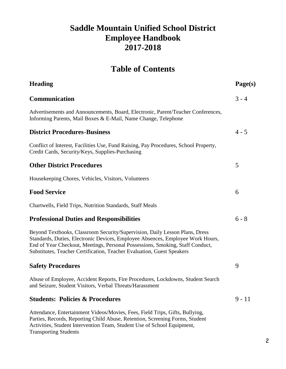# **Saddle Mountain Unified School District Employee Handbook 2017-2018**

# **Table of Contents**

| <b>Heading</b>                                                                                                                                                                                                                                                                                                           | Page(s)  |
|--------------------------------------------------------------------------------------------------------------------------------------------------------------------------------------------------------------------------------------------------------------------------------------------------------------------------|----------|
| Communication                                                                                                                                                                                                                                                                                                            | $3 - 4$  |
| Advertisements and Announcements, Board, Electronic, Parent/Teacher Conferences,<br>Informing Parents, Mail Boxes & E-Mail, Name Change, Telephone                                                                                                                                                                       |          |
| <b>District Procedures-Business</b>                                                                                                                                                                                                                                                                                      | $4 - 5$  |
| Conflict of Interest, Facilities Use, Fund Raising, Pay Procedures, School Property,<br>Credit Cards, Security/Keys, Supplies-Purchasing                                                                                                                                                                                 |          |
| <b>Other District Procedures</b>                                                                                                                                                                                                                                                                                         | 5        |
| Housekeeping Chores, Vehicles, Visitors, Volunteers                                                                                                                                                                                                                                                                      |          |
| <b>Food Service</b>                                                                                                                                                                                                                                                                                                      | 6        |
| Chartwells, Field Trips, Nutrition Standards, Staff Meals                                                                                                                                                                                                                                                                |          |
| <b>Professional Duties and Responsibilities</b>                                                                                                                                                                                                                                                                          | $6 - 8$  |
| Beyond Textbooks, Classroom Security/Supervision, Daily Lesson Plans, Dress<br>Standards, Duties, Electronic Devices, Employee Absences, Employee Work Hours,<br>End of Year Checkout, Meetings, Personal Possessions, Smoking, Staff Conduct,<br>Substitutes, Teacher Certification, Teacher Evaluation, Guest Speakers |          |
| <b>Safety Procedures</b>                                                                                                                                                                                                                                                                                                 | 9        |
| Abuse of Employee, Accident Reports, Fire Procedures, Lockdowns, Student Search<br>and Seizure, Student Visitors, Verbal Threats/Harassment                                                                                                                                                                              |          |
| <b>Students: Policies &amp; Procedures</b>                                                                                                                                                                                                                                                                               | $9 - 11$ |
| Attendance, Entertainment Videos/Movies, Fees, Field Trips, Gifts, Bullying,<br>Parties, Records, Reporting Child Abuse, Retention, Screening Forms, Student<br>Activities, Student Intervention Team, Student Use of School Equipment,                                                                                  |          |

Transporting Students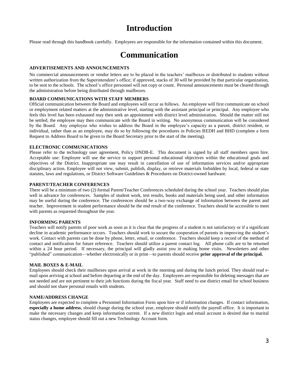# **Introduction**

Please read through this handbook carefully. Employees are responsible for the information contained within this document.

# **Communication**

# **ADVERTISEMENTS AND ANNOUNCEMENTS**

No commercial announcements or vendor letters are to be placed in the teachers' mailboxes or distributed to students without written authorization from the Superintendent's office; if approved, stacks of 30 will be provided by that particular organization, to be sent to the schools. The school's office personnel will not copy or count. Personal announcements must be cleared through the administration before being distributed through mailboxes.

#### **BOARD COMMUNICATIONS WITH STAFF MEMBERS**

Official communication between the Board and employees will occur as follows. An employee will first communicate on school or employment related matters at the administrative level, starting with the assistant principal or principal. Any employee who feels this level has been exhausted may then seek an appointment with district level administration. Should the matter still not be settled, the employee may then communicate with the Board in writing. No anonymous communication will be considered by the Board. Any employee who wishes to address the Board in the employee's capacity as a parent, district resident, or individual, rather than as an employee, may do so by following the procedures in Policies BEDH and BHD (complete a form Request to Address Board to be given to the Board Secretary prior to the start of the meeting).

#### **ELECTRONIC COMMUNICATIONS**

Please refer to the technology user agreement, Policy IJNDB-E. This document is signed by all staff members upon hire. Acceptable use: Employee will use the service to support personal educational objectives within the educational goals and objectives of the District. Inappropriate use may result in cancellation of use of information services and/or appropriate disciplinary action. Employee will not view, submit, publish, display, or retrieve materials forbidden by local, federal or state statutes, laws and regulations, or District Software Guidelines & Procedures on District-owned hardware.

#### **PARENT/TEACHER CONFERENCES**

There will be a minimum of two (2) formal Parent/Teacher Conferences scheduled during the school year. Teachers should plan well in advance for conferences. Samples of student work, test results, books and materials being used, and other information may be useful during the conference. The conferences should be a two-way exchange of information between the parent and teacher. Improvement in student performance should be the end result of the conference. Teachers should be accessible to meet with parents as requested throughout the year.

#### **INFORMING PARENTS**

Teachers will notify parents of poor work as soon as it is clear that the progress of a student is not satisfactory or if a significant decline in academic performance occurs. Teachers should work to secure the cooperation of parents in improving the student's work. Contact with parents can be done by phone, letter, email, or conference. Teachers should keep a record of the method of contact and notification for future reference. Teachers should utilize a parent contact log. All phone calls are to be returned within a 24 hour period. If necessary, the principal will gladly assist you in making home visits. Newsletters and other "published" communication—whether electronically or in print—to parents should receive **prior approval of the principal.**

#### **MAIL BOXES & E-MAIL**

Employees should check their mailboxes upon arrival at work in the morning and during the lunch period. They should read email upon arriving at school and before departing at the end of the day. Employees are responsible for deleting messages that are not needed and are not pertinent to their job functions during the fiscal year. Staff need to use district email for school business and should not share personal emails with students.

#### **NAME/ADDRESS CHANGE**

Employees are expected to complete a Personnel Information Form upon hire or if information changes. If contact information, **especially a home address**, should change during the school year, employee should notify the payroll office. It is important to make the necessary changes and keep information current. If a new district login and email account is desired due to marital status changes, employee should fill out a new Technology Account form.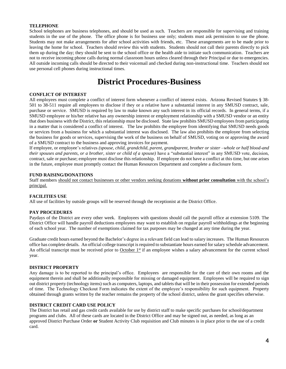### **TELEPHONE**

School telephones are business telephones, and should be used as such. Teachers are responsible for supervising and training students in the use of the phone. The office phone is for business use only; students must ask permission to use the phone. Students may not make arrangements for after school activities with friends, etc. These arrangements are to be made prior to leaving the home for school. Teachers should review this with students. Students should not call their parents directly to pick them up during the day; they should be sent to the school office or the health aide to initiate such communication. Teachers are not to receive incoming phone calls during normal classroom hours unless cleared through their Principal or due to emergencies. All outside incoming calls should be directed to their voicemail and checked during non-instructional time. Teachers should not use personal cell phones during instructional times.

# **District Procedures-Business**

#### **CONFLICT OF INTEREST**

All employees must complete a conflict of interest form whenever a conflict of interest exists. Arizona Revised Statutes § 38- 501 to 38-511 require all employees to disclose if they or a relative have a substantial interest in any SMUSD contract, sale, purchase or service. SMUSD is required by law to make known any such interest in its official records. In general terms, if a SMUSD employee or his/her relative has any ownership interest or employment relationship with a SMUSD vendor or an entity that does business with the District, this relationship must be disclosed. State law prohibits SMUSD employees from participating in a matter that is considered a conflict of interest. The law prohibits the employee from identifying that SMUSD needs goods or services from a business for which a substantial interest was disclosed. The law also prohibits the employee from selecting the business for goods or services, supervising the work of the business on behalf of SMUSD, voting on or approving the award of a SMUSD contract to the business and approving invoices for payment.

If employee, or employee's relatives *(spouse, child, grandchild, parent, grandparent, brother or sister –whole or half blood-and their spouses and parents, or a brother, sister or child of a spouse)* have a "substantial interest" in any SMUSD vote, decision, contract, sale or purchase; employee must disclose this relationship. If employee do not have a conflict at this time, but one arises in the future, employee must promptly contact the Human Resources Department and complete a disclosure form.

#### **FUND RAISING/DONATIONS**

Staff members should not contact businesses or other vendors seeking donations **without prior consultation** with the school's principal.

#### **FACILITIES USE**

All use of facilities by outside groups will be reserved through the receptionist at the District Office.

#### **PAY PROCEDURES**

Paydays of the District are every other week. Employees with questions should call the payroll office at extension 5109. The District Office will handle payroll deductions employees may want to establish on regular payroll withholdings at the beginning of each school year. The number of exemptions claimed for tax purposes may be changed at any time during the year.

Graduate credit hours earned beyond the Bachelor's degree in a relevant field can lead to salary increases. The Human Resources office has complete details. An official college transcript is required to substantiate hours earned for salary schedule advancement. An official transcript must be received prior to  $October 1st$  if an employee wishes a salary advancement for the current school</u> year.

#### **DISTRICT PROPERTY**

Any damage is to be reported to the principal's office. Employees are responsible for the care of their own rooms and the equipment therein and shall be additionally responsible for missing or damaged equipment. Employees will be required to sign out district property (technology items) such as computers, laptops, and tablets that will be in their possession for extended periods of time. The Technology Checkout Form indicates the extent of the employee's responsibility for such equipment. Property obtained through grants written by the teacher remains the property of the school district, unless the grant specifies otherwise.

#### **DISTRICT CREDIT CARD USE POLICY**

The District has retail and gas credit cards available for use by district staff to make specific purchases for school/department programs and clubs. All of these cards are located in the District Office and may be signed out, as needed, as long as an approved District Purchase Order **or** Student Activity Club requisition and Club minutes is in place prior to the use of a credit card.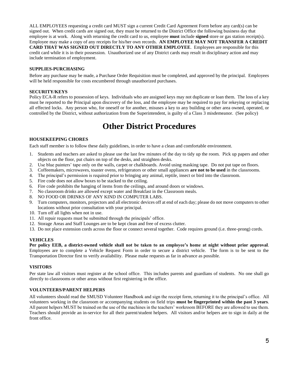ALL EMPLOYEES requesting a credit card MUST sign a current Credit Card Agreement Form before any card(s) can be signed out. When credit cards are signed out, they must be returned to the District Office the following business day that employee is at work. Along with returning the credit card to us, employee **must** include **signed** store or gas station receipt(s). Employee may make a copy of any receipts for his/her own records. **AN EMPLOYEE MAY NOT TRANSFER A CREDIT CARD THAT WAS SIGNED OUT DIRECTLY TO ANY OTHER EMPLOYEE**. Employees are responsible for this credit card while it is in their possession. Unauthorized use of any District cards may result in disciplinary action and may include termination of employment.

# **SUPPLIES-PURCHASING**

Before any purchase may be made, a Purchase Order Requisition must be completed, and approved by the principal. Employees will be held responsible for costs encumbered through unauthorized purchases.

# **SECURITY/KEYS**

Policy ECA-R refers to possession of keys. Individuals who are assigned keys may not duplicate or loan them. The loss of a key must be reported to the Principal upon discovery of the loss, and the employee may be required to pay for rekeying or replacing all effected locks. Any person who, for oneself or for another, misuses a key to any building or other area owned, operated, or controlled by the District, without authorization from the Superintendent, is guilty of a Class 3 misdemeanor. (See policy)

# **Other District Procedures**

# **HOUSEKEEPING CHORES**

Each staff member is to follow these daily guidelines, in order to have a clean and comfortable environment.

- 1. Students and teachers are asked to please use the last few minutes of the day to tidy up the room.Pick up papers and other objects on the floor, put chairs on top of the desks, and straighten desks.
- 2. Use blue painters' tape only on the walls, carpet or chalkboards. Avoid using masking tape. Do not put tape on floors.
- 3. Coffeemakers, microwaves, toaster ovens, refrigerators or other small appliances **are not to be used** in the classrooms.
- 4. The principal's permission is required prior to bringing any animal, reptile, insect or bird into the classroom.
- 5. Fire code does not allow boxes to be stacked to the ceiling.
- 6. Fire code prohibits the hanging of items from the ceilings, and around doors or windows.
- 7. No classroom drinks are allowed except water and Breakfast in the Classroom meals.
- 8. NO FOOD OR DRINKS OF ANY KIND IN COMPUTER LABS.
- 9. Turn computers, monitors, projectors and all electronic devices off at end of each day; please do not move computers to other locations without prior consultation with your principal.
- 10. Turn off all lights when not in use.
- 11. All repair requests must be submitted through the principals' office.
- 12. Storage Areas and Staff Lounges are to be kept clean and free of excess clutter.
- 13. Do not place extension cords across the floor or connect several together. Code requires ground (i.e. three-prong) cords.

# **VEHICLES**

**Per policy EEB, a district-owned vehicle shall not be taken to an employee's home at night without prior approval**. Employees are to complete a Vehicle Request Form in order to secure a district vehicle. The form is to be sent to the Transportation Director first to verify availability. Please make requests as far in advance as possible.

# **VISITORS**

Per state law all visitors must register at the school office. This includes parents and guardians of students. No one shall go directly to classrooms or other areas without first registering in the office.

# **VOLUNTEERS/PARENT HELPERS**

All volunteers should read the SMUSD Volunteer Handbook and sign the receipt form, returning it to the principal's office. All volunteers working in the classroom or accompanying students on field trips **must be fingerprinted within the past 3 years**. All parent helpers MUST be trained on the use of the machines in the teachers' workroom BEFORE they are allowed to use them. Teachers should provide an in-service for all their parent/student helpers. All visitors and/or helpers are to sign in daily at the front office.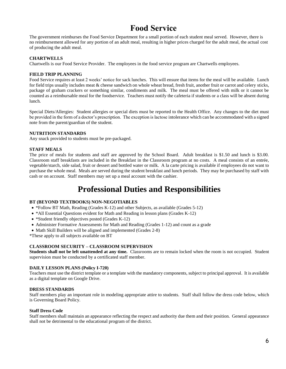# **Food Service**

The government reimburses the Food Service Department for a small portion of each student meal served. However, there is no reimbursement allowed for any portion of an adult meal, resulting in higher prices charged for the adult meal, the actual cost of producing the adult meal.

# **CHARTWELLS**

Chartwells is our Food Service Provider. The employees in the food service program are Chartwells employees.

# **FIELD TRIP PLANNING**

Food Service requires at least 2 weeks' notice for sack lunches. This will ensure that items for the meal will be available. Lunch for field trips usually includes meat & cheese sandwich on whole wheat bread, fresh fruit, another fruit or carrot and celery sticks, package of graham crackers or something similar, condiments and milk. The meal must be offered with milk or it cannot be counted as a reimbursable meal for the foodservice. Teachers must notify the cafeteria if students or a class will be absent during lunch.

Special Diets/Allergies: Student allergies or special diets must be reported to the Health Office. Any changes to the diet must be provided in the form of a doctor's prescription. The exception is lactose intolerance which can be accommodated with a signed note from the parent/guardian of the student.

# **NUTRITION STANDARDS**

Any snack provided to students must be pre-packaged.

# **STAFF MEALS**

The price of meals for students and staff are approved by the School Board. Adult breakfast is \$1.50 and lunch is \$3.00. Classroom staff breakfasts are included in the Breakfast in the Classroom program at no costs. A meal consists of an entrée, vegetable/starch, side salad, fruit or dessert and bottled water or milk. A la carte pricing is available if employees do not want to purchase the whole meal. Meals are served during the student breakfast and lunch periods. They may be purchased by staff with cash or on account. Staff members may set up a meal account with the cashier.

# **Professional Duties and Responsibilities**

# **BT (BEYOND TEXTBOOKS) NON-NEGOTIABLES**

- \*Follow BT Math, Reading (Grades K-12) and other Subjects, as available (Grades 5-12)
- \*All Essential Questions evident for Math and Reading in lesson plans (Grades K-12)
- \*Student friendly objectives posted (Grades K-12)
- Administer Formative Assessments for Math and Reading (Grades 1-12) and count as a grade
- Math Skill Builders will be aligned and implemented (Grades 2-8)

\*These apply to all subjects available on BT

# **CLASSROOM SECURITY – CLASSROOM SUPERVISION**

**Students shall not be left unattended at any time.** Classrooms are to remain locked when the room is not occupied. Student supervision must be conducted by a certificated staff member.

# **DAILY LESSON PLANS (Policy I-720)**

Teachers must use the district template or a template with the mandatory components, subject to principal approval. It is available as a digital template on Google Drive.

# **DRESS STANDARDS**

Staff members play an important role in modeling appropriate attire to students. Staff shall follow the dress code below, which is Governing Board Policy.

# **Staff Dress Code**

Staff members shall maintain an appearance reflecting the respect and authority due them and their position. General appearance shall not be detrimental to the educational program of the district.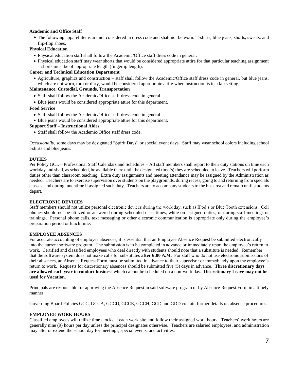# **Academic and Office Staff**

 The following apparel items are not considered in dress code and shall not be worn: T-shirts, blue jeans, shorts, sweats, and flip-flop shoes.

# **Physical Education**

- Physical education staff shall follow the Academic/Office staff dress code in general.
- Physical education staff may wear shorts that would be considered appropriate attire for that particular teaching assignment – shorts must be of appropriate length (fingertip length).

# **Career and Technical Education Department**

 Agriculture, graphics and construction – staff shall follow the Academic/Office staff dress code in general, but blue jeans, which are not worn, torn or dirty, would be considered appropriate attire when instruction is in a lab setting.

#### **Maintenance, Custodial, Grounds, Transportation**

- Staff shall follow the Academic/Office staff dress code in general.
- Blue jeans would be considered appropriate attire for this department.

#### **Food Service**

- Staff shall follow the Academic/Office staff dress code in general.
- Blue jeans would be considered appropriate attire for this department.

#### **Support Staff – Instructional Aides**

Staff shall follow the Academic/Office staff dress code.

*Occasionally*, some days may be designated "Spirit Days" or special event days. Staff may wear school colors including school t-shirts and blue jeans.

#### **DUTIES**

Per Policy GCL – Professional Staff Calendars and Schedules – All staff members shall report to their duty stations on time each workday and shall, as scheduled, be available there until the designated time(s) they are scheduled to leave. Teachers will perform duties other than classroom teaching. Extra duty assignments and meeting attendance may be assigned by the Administration as needed. Teachers are to exercise supervision over students on the playgrounds, during recess, going to and returning from specials classes, and during lunchtime if assigned such duty. Teachers are to accompany students to the bus area and remain until students depart.

#### **ELECTRONIC DEVICES**

Staff members should not utilize personal electronic devices during the work day, such as IPod's or Blue Tooth extensions. Cell phones should not be utilized or answered during scheduled class times, while on assigned duties, or during staff meetings or trainings. Personal phone calls, text messaging or other electronic communication is appropriate only during the employee's preparation period or lunch time.

# **EMPLOYEE ABSENCES**

For accurate accounting of employee absences, it is essential that an Employee Absence Request be submitted electronically into the current software program. The submission is to be completed in advance or immediately upon the employee's return to work. Certified and classified employees who deal directly with students should note that a substitute is needed. Remember that the software system does not make calls for substitutes **after 6:00 A.M**. For staff who do not use electronic submissions of their absences, an Absence Request Form must be submitted in advance to their supervisor or immediately upon the employee's return to work. Requests for discretionary absences should be submitted five (5) days in advance**. Three discretionary days are allowed each year to conduct business** which cannot be scheduled on a non-work day**. Discretionary Leave may not be used for Vacation.**

Principals are responsible for approving the Absence Request in said software program or by Absence Request Form in a timely manner.

Governing Board Policies GCC, GCCA, GCCD, GCCE, GCCH, GCD and GDD contain further details on absence procedures.

# **EMPLOYEE WORK HOURS**

Classified employees will utilize time clocks at each work site and follow their assigned work hours. Teachers' work hours are generally nine (9) hours per day unless the principal designates otherwise. Teachers are salaried employees, and administration may alter or extend the school day for meetings, special events, and activities.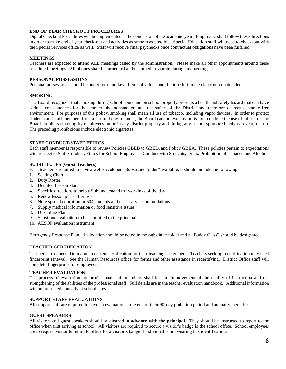# **END OF YEAR CHECKOUT PROCEDURES**

Digital Checkout Procedures will be implemented at the conclusion of the academic year. Employees shall follow these directions in order to make end of year check-out and activities as smooth as possible. Special Education staff will need to check-out with the Special Services office as well. Staff will receive final paychecks once contractual obligations have been fulfilled.

# **MEETINGS**

Teachers are expected to attend ALL meetings called by the administration. Please make all other appointments around these scheduled meetings. All phones shall be turned off and/or turned to vibrate during any meetings.

# **PERSONAL POSSESSIONS**

Personal possessions should be under lock and key. Items of value should not be left in the classroom unattended.

# **SMOKING**

The Board recognizes that smoking during school hours and on school property presents a health and safety hazard that can have serious consequences for the smoker, the nonsmoker, and the safety of the District and therefore decrees a smoke-free environment. For purposes of this policy, smoking shall mean all use of tobacco, including vapor devices. In order to protect students and staff members from a harmful environment, the Board cannot, even by omission, condone the use of tobacco. The Board prohibits smoking by employees on or in any district property and during any school sponsored activity, event, or trip. The preceding prohibitions include electronic cigarettes.

# **STAFF CONDUCT/STAFF ETHICS**

Each staff member is responsible to review Policies GBEB to GBED, and Policy GBEA. These policies pertain to expectations with respect to Staff Conduct, Ethics for School Employees, Conduct with Students, Dress, Prohibition of Tobacco and Alcohol.

# **SUBSTITUTES (Guest Teachers)**

Each teacher is required to have a well-developed "Substitute Folder" available; it should include the following:

- 1. Seating Chart
- 2. Duty Roster
- 3. Detailed Lesson Plans
- 4. Specific directions to help a Sub understand the workings of the day
- 5. Renew lesson plans after use
- 6. Note special education or 504 students and necessary accommodations<br>7. Supply medical information or food sensitive issues
- Supply medical information or food sensitive issues
- 8. Discipline Plan
- 9. Substitute evaluation to be submitted to the principal
- 10. AESOP evaluation instrument

Emergency Response Plan – Its location should be noted in the Substitute folder and a "Buddy Class" should be designated.

# **TEACHER CERTIFICATION**

Teachers are expected to maintain current certification for their teaching assignment. Teachers seeking recertification may need fingerprint renewal. See the Human Resources office for forms and other assistance in recertifying. District Office staff will complete fingerprints for employees.

# **TEACHER EVALUATION**

The process of evaluation for professional staff members shall lead to improvement of the quality of instruction and the strengthening of the abilities of the professional staff. Full details are in the teacher evaluation handbook. Additional information will be presented annually at school sites.

# **SUPPORT STAFF EVALUATIONS**

All support staff are required to have an evaluation at the end of their 90-day probation period and annually thereafter.

# **GUEST SPEAKERS**

All visitors and guest speakers should be **cleared in advance with the principal**. They should be instructed to report to the office when first arriving at school. All visitors are required to secure a visitor's badge in the school office. School employees are to request visitor to return to office for a visitor's badge if individual is not wearing this identification.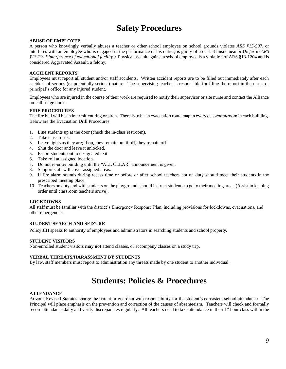# **Safety Procedures**

# **ABUSE OF EMPLOYEE**

A person who knowingly verbally abuses a teacher or other school employee on school grounds violates *ARS §15-507*, or interferes with an employee who is engaged in the performance of his duties, is guilty of a class 3 misdemeanor (*Refer to ARS §13-2911 interference of educational facility.)* Physical assault against a school employee is a violation of ARS §13-1204 and is considered Aggravated Assault, a felony.

# **ACCIDENT REPORTS**

Employees must report all student and/or staff accidents. Written accident reports are to be filled out immediately after each accident of serious (or potentially serious) nature. The supervising teacher is responsible for filing the report in the nurse or principal's office for any injured student.

Employees who are injured in the course of their work are required to notify their supervisor or site nurse and contact the Alliance on-call triage nurse.

# **FIRE PROCEDURES**

The fire bell will be an intermittent ring or siren. There is to be an evacuation route map in every classroom/room in each building. Below are the Evacuation Drill Procedures.

- 1. Line students up at the door (check the in-class restroom).
- 2. Take class roster.
- 3. Leave lights as they are; if on, they remain on, if off, they remain off.
- 4. Shut the door and leave it unlocked.
- 5. Escort students out to designated exit.
- 6. Take roll at assigned location.
- 7. Do not re-enter building until the "ALL CLEAR" announcement is given.
- 8. Support staff will cover assigned areas.
- 9. If fire alarm sounds during recess time or before or after school teachers not on duty should meet their students in the prescribed meeting place.
- 10. Teachers on duty and with students on the playground, should instruct students to go to their meeting area. (Assist in keeping order until classroom teachers arrive).

# **LOCKDOWNS**

All staff must be familiar with the district's Emergency Response Plan, including provisions for lockdowns, evacuations, and other emergencies.

# **STUDENT SEARCH AND SEIZURE**

Policy JIH speaks to authority of employees and administrators in searching students and school property.

# **STUDENT VISITORS**

Non-enrolled student visitors **may not** attend classes, or accompany classes on a study trip.

#### **VERBAL THREATS/HARASSMENT BY STUDENTS**

By law, staff members must report to administration any threats made by one student to another individual.

# **Students: Policies & Procedures**

#### **ATTENDANCE**

Arizona Revised Statutes charge the parent or guardian with responsibility for the student's consistent school attendance. The Principal will place emphasis on the prevention and correction of the causes of absenteeism. Teachers will check and formally record attendance daily and verify discrepancies regularly. All teachers need to take attendance in their 1<sup>st</sup> hour class within the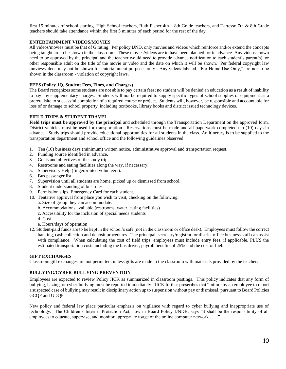first 15 minutes of school starting. High School teachers, Ruth Fisher 4th – 8th Grade teachers, and Tartesso 7th & 8th Grade teachers should take attendance within the first 5 minutes of each period for the rest of the day.

# **ENTERTAINMENT VIDEOS/MOVIES**

All videos/movies must be that of G rating. Per policy IJND, only movies and videos which reinforce and/or extend the concepts being taught are to be shown in the classroom. These movies/videos are to have been planned for in advance. Any videos shown need to be approved by the principal and the teacher would need to provide advance notification to each student's parent(s), or other responsible adult on the title of the movie or video and the date on which it will be shown. Per federal copyright law movies/videos may not be shown for entertainment purposes only. Any videos labeled, "For Home Use Only," are not to be shown in the classroom - violation of copyright laws.

# **FEES (Policy JQ, Student Fees, Fines, and Charges)**

The Board recognizes some students are not able to pay certain fees; no student will be denied an education as a result of inability to pay any supplementary charges. Students will not be required to supply specific types of school supplies or equipment as a prerequisite to successful completion of a required course or project. Students will, however, be responsible and accountable for loss of or damage to school property, including textbooks, library books and district issued technology devices.

#### **FIELD TRIPS & STUDENT TRAVEL**

**Field trips must be approved by the principal** and scheduled through the Transportation Department on the approved form. District vehicles must be used for transportation. Reservations must be made and all paperwork completed ten (10) days in advance. Study trips should provide educational opportunities for all students in the class. An itinerary is to be supplied to the transportation department and school office and the following guidelines observed.

- 1. Ten (10) business days (minimum) written notice, administrative approval and transportation request.
- 2. Funding source identified in advance.
- 3. Goals and objectives of the study trip.
- 4. Restrooms and eating facilities along the way, if necessary.
- 5. Supervisory Help (fingerprinted volunteers).
- 6. Bus passenger list.
- 7. Supervision until all students are home, picked up or dismissed from school.
- 8. Student understanding of bus rules.
- 9. Permission slips, Emergency Card for each student.
- 10. Tentative approval from place you wish to visit, checking on the following:
	- a. Size of group they can accommodate.
	- b. Accommodations available (restrooms, water, eating facilities)
	- c. Accessibility for the inclusion of special needs students
	- d. Cost
	- e. Hours/days of operation
- 12. Student-paid funds are to be kept in the school's safe (not in the classroom or office desk). Employees must follow the correct banking, cash collection and deposit procedures. The principal, secretary/registrar, or district office business staff can assist with compliance. When calculating the cost of field trips, employees must include entry fees, if applicable, PLUS the estimated transportation costs including the bus driver, payroll benefits of 25% and the cost of fuel.

# **GIFT EXCHANGES**

Classroom gift exchanges are not permitted, unless gifts are made in the classroom with materials provided by the teacher.

# **BULLYING/CYBER-BULLYING PREVENTION**

Employees are expected to review Policy JICK as summarized in classroom postings. This policy indicates that any form of bullying, hazing, or cyber-bullying must be reported immediately. JICK further prescribes that "failure by an employee to report a suspected case of bullying may result in disciplinary action up to suspension without pay or dismissal, pursuant to Board Policies GCQF and GDQF.

New policy and federal law place particular emphasis on vigilance with regard to cyber bullying and inappropriate use of technology. The Children's Internet Protection Act, now in Board Policy IJNDB, says "it shall be the responsibility of all employees to educate, supervise, and monitor appropriate usage of the online computer network . . . ."